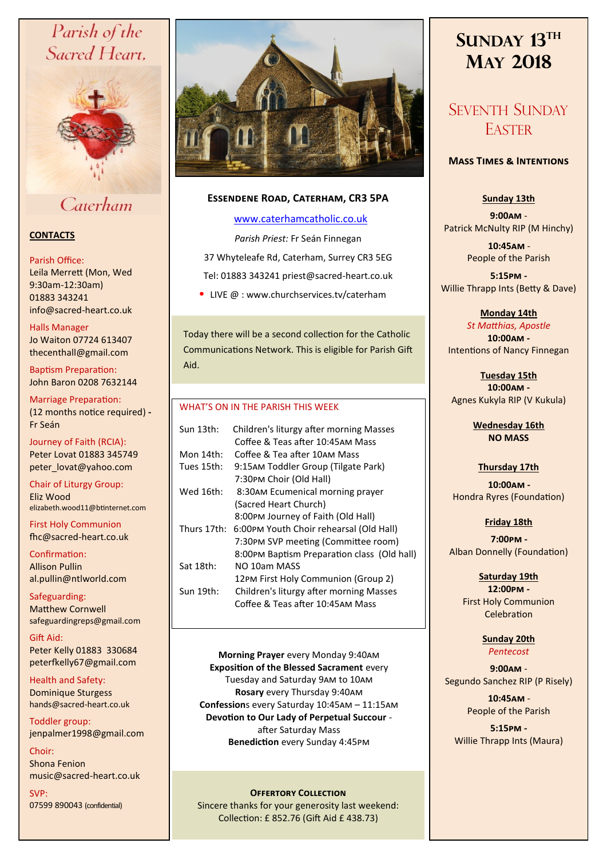# Parish of the Sacred Heart,



Caterham

# **CONTACTS**

### Parish Office:

Leila Merrett (Mon, Wed 9:30am-12:30am) 01883 343241 info@sacred-heart.co.uk .

# Halls Manager

Jo Waiton 07724 613407 thecenthall@gmail.com

Baptism Preparation: John Baron 0208 7632144

Marriage Preparation: (12 months notice required) **-** Fr Seán

Journey of Faith (RCIA): Peter Lovat 01883 345749 peter\_lovat@yahoo.com

Chair of Liturgy Group: Eliz Wood elizabeth.wood11@btinternet.com

First Holy Communion fhc@sacred-heart.co.uk

Confirmation: Allison Pullin al.pullin@ntlworld.com

Safeguarding: Matthew Cornwell safeguardingreps@gmail.com

Gift Aid: Peter Kelly 01883 330684 peterfkelly67@gmail.com

Health and Safety: Dominique Sturgess hands@sacred-heart.co.uk

Toddler group: jenpalmer1998@gmail.com

Choir: Shona Fenion music@sacred-heart.co.uk

SVP: 07599 890043 (confidential)



# **Essendene Road, Caterham, CR3 5PA**

# [www.caterhamcatholic.co.uk](http://Www.caterhamcatholic.co.uk)

*Parish Priest:* Fr Seán Finnegan 37 Whyteleafe Rd, Caterham, Surrey CR3 5EG Tel: 01883 343241 priest@sacred-heart.co.uk

• LIVE  $@:www.churchservices.tv/caterham$ 

Today there will be a second collection for the Catholic Communications Network. This is eligible for Parish Gift Aid.

# WHAT'S ON IN THE PARISH THIS WEEK.

| Sun 13th:   | Children's liturgy after morning Masses     |
|-------------|---------------------------------------------|
|             | Coffee & Teas after 10:45AM Mass            |
| Mon 14th:   | Coffee & Tea after 10AM Mass                |
| Tues 15th:  | 9:15AM Toddler Group (Tilgate Park)         |
|             | 7:30PM Choir (Old Hall)                     |
| Wed 16th:   | 8:30AM Ecumenical morning prayer            |
|             | (Sacred Heart Church)                       |
|             | 8:00PM Journey of Faith (Old Hall)          |
| Thurs 17th: | 6:00PM Youth Choir rehearsal (Old Hall)     |
|             | 7:30PM SVP meeting (Committee room)         |
|             | 8:00PM Baptism Preparation class (Old hall) |
| Sat 18th:   | NO 10am MASS                                |
|             | 12PM First Holy Communion (Group 2)         |
| Sun 19th:   | Children's liturgy after morning Masses     |
|             | Coffee & Teas after 10:45AM Mass            |
|             |                                             |

**Morning Prayer** every Monday 9:40am **Exposition of the Blessed Sacrament** every Tuesday and Saturday 9am to 10am **Rosary** every Thursday 9:40am **Confession**s every Saturday 10:45am – 11:15am **Devotion to Our Lady of Perpetual Succour**  after Saturday Mass **Benediction** every Sunday 4:45pm

# **OFFERTORY COLLECTION**

Sincere thanks for your generosity last weekend: Collection: £ 852.76 (Gift Aid £ 438.73)

# **SUNDAY 13TH MAY 2018**

# SEVENTH SUNDAY **EASTER**

# **Mass Times & Intentions**

# **Sunday 13th**

**9:00am** - Patrick McNulty RIP (M Hinchy)

> .**10:45am** - People of the Parish

**5:15pm -** Willie Thrapp Ints (Betty & Dave)

**Monday 14th** 

*St Matthias, Apostle* **10:00am -**  Intentions of Nancy Finnegan

**Tuesday 15th 10:00am -** Agnes Kukyla RIP (V Kukula)

> **Wednesday 16th NO MASS**

# **Thursday 17th**

.**10:00am -** Hondra Ryres (Foundation)

**Friday 18th**  .**7:00pm -**  Alban Donnelly (Foundation)

# **Saturday 19th**

**12:00pm -**  First Holy Communion Celebration

#### **Sunday 20th** *Pentecost*

**9:00am** - Segundo Sanchez RIP (P Risely)

> .**10:45am** - People of the Parish

**5:15pm -** Willie Thrapp Ints (Maura)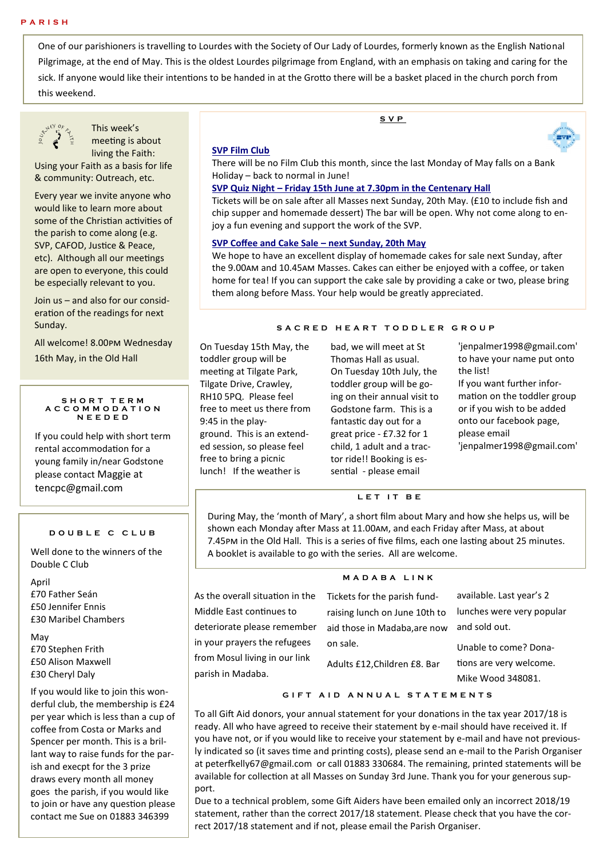One of our parishioners is travelling to Lourdes with the Society of Our Lady of Lourdes, formerly known as the English National Pilgrimage, at the end of May. This is the oldest Lourdes pilgrimage from England, with an emphasis on taking and caring for the sick. If anyone would like their intentions to be handed in at the Grotto there will be a basket placed in the church porch from this weekend.



This week's meeting is about living the Faith:

Using your Faith as a basis for life & community: Outreach, etc.

Every year we invite anyone who would like to learn more about some of the Christian activities of the parish to come along (e.g. SVP, CAFOD, Justice & Peace, etc). Although all our meetings are open to everyone, this could be especially relevant to you.

Join us – and also for our consideration of the readings for next Sunday.

All welcome! 8.00pm Wednesday 16th May, in the Old Hall

#### **S H O R T T E R M A C C O M M O D A T I O N N E E D E D**

If you could help with short term rental accommodation for a young family in/near Godstone please contact Maggie at tencpc@gmail.com

#### **D O U B L E C C L U B**

Well done to the winners of the Double C Club

# April

£70 Father Seán £50 Jennifer Ennis £30 Maribel Chambers

# May £70 Stephen Frith £50 Alison Maxwell £30 Cheryl Daly

If you would like to join this wonderful club, the membership is £24 per year which is less than a cup of coffee from Costa or Marks and Spencer per month. This is a brillant way to raise funds for the parish and execpt for the 3 prize draws every month all money goes the parish, if you would like to join or have any question please contact me Sue on 01883 346399

### **SVP Film Club**

There will be no Film Club this month, since the last Monday of May falls on a Bank Holiday – back to normal in June!

#### **SVP Quiz Night – Friday 15th June at 7.30pm in the Centenary Hall**

Tickets will be on sale after all Masses next Sunday, 20th May. (£10 to include fish and chip supper and homemade dessert) The bar will be open. Why not come along to enjoy a fun evening and support the work of the SVP.

#### **SVP Coffee and Cake Sale – next Sunday, 20th May**

We hope to have an excellent display of homemade cakes for sale next Sunday, after the 9.00am and 10.45am Masses. Cakes can either be enjoyed with a coffee, or taken home for tea! If you can support the cake sale by providing a cake or two, please bring them along before Mass. Your help would be greatly appreciated.

#### **S A C R E D H E A R T T O D D L E R G R O U P**

On Tuesday 15th May, the toddler group will be meeting at Tilgate Park, Tilgate Drive, Crawley, RH10 5PQ. Please feel free to meet us there from 9:45 in the playground. This is an extended session, so please feel free to bring a picnic lunch! If the weather is

bad, we will meet at St Thomas Hall as usual. On Tuesday 10th July, the toddler group will be going on their annual visit to Godstone farm. This is a fantastic day out for a great price - £7.32 for 1 child, 1 adult and a tractor ride!! Booking is essential - please email

'jenpalmer1998@gmail.com' to have your name put onto the list! If you want further information on the toddler group or if you wish to be added onto our facebook page, please email

'jenpalmer1998@gmail.com'

#### **L E T I T B E**

During May, the 'month of Mary', a short film about Mary and how she helps us, will be shown each Monday after Mass at 11.00am, and each Friday after Mass, at about 7.45pm in the Old Hall. This is a series of five films, each one lasting about 25 minutes. A booklet is available to go with the series. All are welcome.

As the overall situation Middle Fast continues deteriorate please rem in your prayers the refu from Mosul living in ou parish in Madaba.

**M A D A B A L I N K**

| in the ו | Tickets for the parish fund-  | available. Last year's 2  |
|----------|-------------------------------|---------------------------|
| to       | raising lunch on June 10th to | lunches were very popular |
| ıember   | aid those in Madaba, are now  | and sold out.             |
| ugees    | on sale.                      | Unable to come? Dona-     |
| ır link  | Adults £12, Children £8. Bar  | tions are very welcome.   |
|          |                               | Mike Wood 348081.         |

#### **G I F T A I D A N N U A L S T A T E M E N T S**

To all Gift Aid donors, your annual statement for your donations in the tax year 2017/18 is ready. All who have agreed to receive their statement by e-mail should have received it. If you have not, or if you would like to receive your statement by e-mail and have not previously indicated so (it saves time and printing costs), please send an e-mail to the Parish Organiser at peterfkelly67@gmail.com or call 01883 330684. The remaining, printed statements will be available for collection at all Masses on Sunday 3rd June. Thank you for your generous support.

Due to a technical problem, some Gift Aiders have been emailed only an incorrect 2018/19 statement, rather than the correct 2017/18 statement. Please check that you have the correct 2017/18 statement and if not, please email the Parish Organiser.

# **S V P**

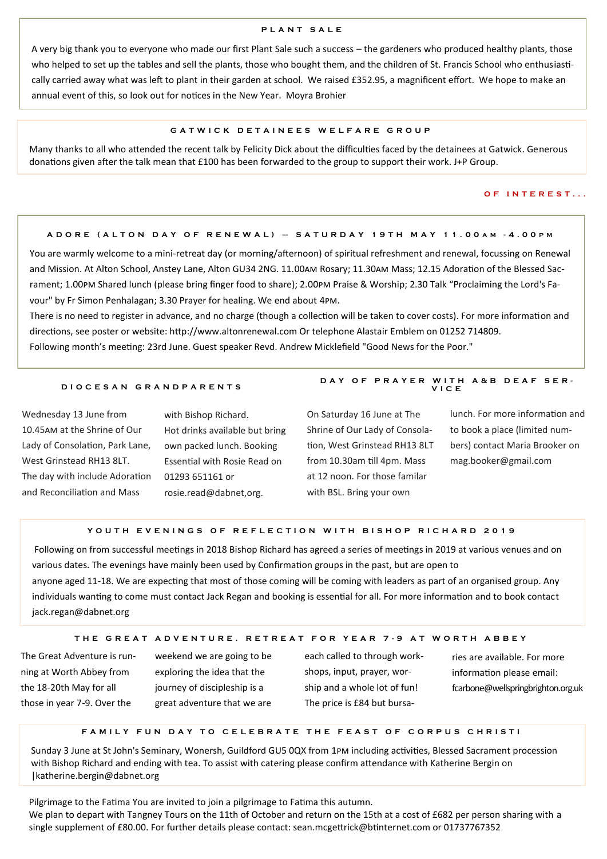### **P L A N T S A L E**

A very big thank you to everyone who made our first Plant Sale such a success – the gardeners who produced healthy plants, those who helped to set up the tables and sell the plants, those who bought them, and the children of St. Francis School who enthusiastically carried away what was left to plant in their garden at school. We raised £352.95, a magnificent effort. We hope to make an annual event of this, so look out for notices in the New Year. Moyra Brohier

#### **G A T W I C K D E T A I N E E S W E L F A R E G R O U P**

Many thanks to all who attended the recent talk by Felicity Dick about the difficulties faced by the detainees at Gatwick. Generous donations given after the talk mean that £100 has been forwarded to the group to support their work. J+P Group.

#### **O F I N T E R E S T . . .**

#### **A D O R E ( A L T O N D A Y O F R E N E W A L ) – S A T U R D A Y 1 9 T H M A Y 1 1 . 0 0 A M - 4 . 0 0 P M**

You are warmly welcome to a mini-retreat day (or morning/afternoon) of spiritual refreshment and renewal, focussing on Renewal and Mission. At Alton School, Anstey Lane, Alton GU34 2NG. 11.00am Rosary; 11.30am Mass; 12.15 Adoration of the Blessed Sacrament; 1.00pm Shared lunch (please bring finger food to share); 2.00pm Praise & Worship; 2.30 Talk "Proclaiming the Lord's Favour" by Fr Simon Penhalagan; 3.30 Prayer for healing. We end about 4pm.

There is no need to register in advance, and no charge (though a collection will be taken to cover costs). For more information and directions, see poster or website: http://www.altonrenewal.com Or telephone Alastair Emblem on 01252 714809. Following month's meeting: 23rd June. Guest speaker Revd. Andrew Micklefield "Good News for the Poor."

#### **D I O C E S A N G R A N D P A R E N T S**

Wednesday 13 June from 10.45am at the Shrine of Our Lady of Consolation, Park Lane, West Grinstead RH13 8LT. The day with include Adoration and Reconciliation and Mass

with Bishop Richard. Hot drinks available but bring own packed lunch. Booking Essential with Rosie Read on 01293 651161 or rosie.read@dabnet,org.

On Saturday 16 June at The Shrine of Our Lady of Consolation, West Grinstead RH13 8LT from 10.30am till 4pm. Mass at 12 noon. For those familar with BSL. Bring your own

lunch. For more information and to book a place (limited numbers) contact Maria Brooker on mag.booker@gmail.com

**D A Y O F P R A Y E R W I T H A & B D E A F S E R - V I C E**

# **Y O U T H E V E N I N G S O F R E F L E C T I O N W I T H B I S H O P R I C H A R D 2 0 1 9**

Following on from successful meetings in 2018 Bishop Richard has agreed a series of meetings in 2019 at various venues and on various dates. The evenings have mainly been used by Confirmation groups in the past, but are open to anyone aged 11-18. We are expecting that most of those coming will be coming with leaders as part of an organised group. Any individuals wanting to come must contact Jack Regan and booking is essential for all. For more information and to book contact jack.regan@dabnet.org

#### **T H E G R E A T A D V E N T U R E . R E T R E A T F O R Y E A R 7 - 9 A T W O R T H A B B E Y**

The Great Adventure is running at Worth Abbey from the 18-20th May for all those in year 7-9. Over the

weekend we are going to be exploring the idea that the journey of discipleship is a great adventure that we are

each called to through workshops, input, prayer, worship and a whole lot of fun! The price is £84 but bursa-

ries are available. For more information please email: fcarbone@wellspringbrighton.org.uk

#### **F A M I L Y F U N D A Y T O C E L E B R A T E T H E F E A S T O F C O R P U S C H R I S T I**

Sunday 3 June at St John's Seminary, Wonersh, Guildford GU5 0QX from 1pm including activities, Blessed Sacrament procession with Bishop Richard and ending with tea. To assist with catering please confirm attendance with Katherine Bergin on |katherine.bergin@dabnet.org

Pilgrimage to the Fatima You are invited to join a pilgrimage to Fatima this autumn.

We plan to depart with Tangney Tours on the 11th of October and return on the 15th at a cost of £682 per person sharing with a single supplement of £80.00. For further details please contact: sean.mcgettrick@btinternet.com or 01737767352